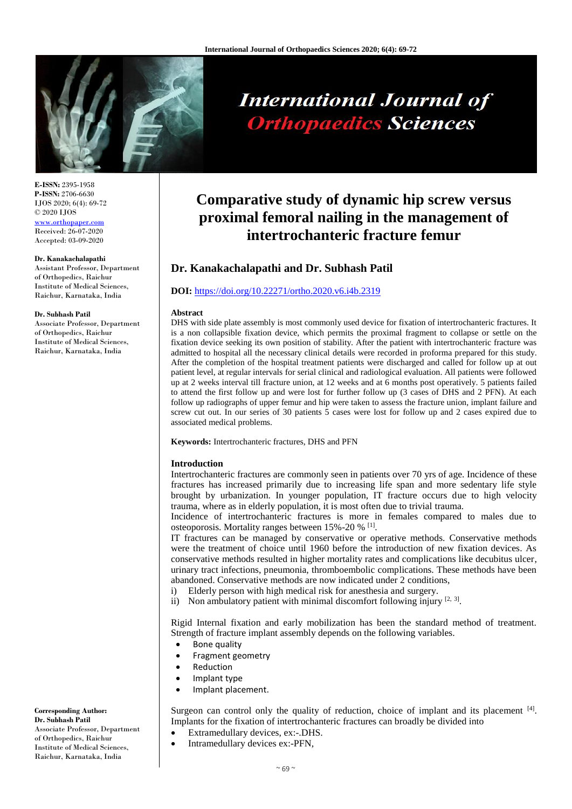

# **International Journal of Orthopaedics Sciences**

**E-ISSN:** 2395-1958 **P-ISSN:** 2706-6630 IJOS 2020; 6(4): 69-72 © 2020 IJOS [www.orthopaper.com](http://www.orthopaper.com/) Received: 26-07-2020 Accepted: 03-09-2020

#### **Dr. Kanakachalapathi**

Assistant Professor, Department of Orthopedics, Raichur Institute of Medical Sciences, Raichur, Karnataka, India

#### **Dr. Subhash Patil**

Associate Professor, Department of Orthopedics, Raichur Institute of Medical Sciences, Raichur, Karnataka, India

## **Comparative study of dynamic hip screw versus proximal femoral nailing in the management of intertrochanteric fracture femur**

### **Dr. Kanakachalapathi and Dr. Subhash Patil**

#### **DOI:** <https://doi.org/10.22271/ortho.2020.v6.i4b.2319>

#### **Abstract**

DHS with side plate assembly is most commonly used device for fixation of intertrochanteric fractures. It is a non collapsible fixation device, which permits the proximal fragment to collapse or settle on the fixation device seeking its own position of stability. After the patient with intertrochanteric fracture was admitted to hospital all the necessary clinical details were recorded in proforma prepared for this study. After the completion of the hospital treatment patients were discharged and called for follow up at out patient level, at regular intervals for serial clinical and radiological evaluation. All patients were followed up at 2 weeks interval till fracture union, at 12 weeks and at 6 months post operatively. 5 patients failed to attend the first follow up and were lost for further follow up (3 cases of DHS and 2 PFN). At each follow up radiographs of upper femur and hip were taken to assess the fracture union, implant failure and screw cut out. In our series of 30 patients 5 cases were lost for follow up and 2 cases expired due to associated medical problems.

**Keywords:** Intertrochanteric fractures, DHS and PFN

#### **Introduction**

Intertrochanteric fractures are commonly seen in patients over 70 yrs of age. Incidence of these fractures has increased primarily due to increasing life span and more sedentary life style brought by urbanization. In younger population, IT fracture occurs due to high velocity trauma, where as in elderly population, it is most often due to trivial trauma.

Incidence of intertrochanteric fractures is more in females compared to males due to osteoporosis. Mortality ranges between 15%-20 % <sup>[1]</sup>.

IT fractures can be managed by conservative or operative methods. Conservative methods were the treatment of choice until 1960 before the introduction of new fixation devices. As conservative methods resulted in higher mortality rates and complications like decubitus ulcer, urinary tract infections, pneumonia, thromboembolic complications. These methods have been abandoned. Conservative methods are now indicated under 2 conditions,

- i) Elderly person with high medical risk for anesthesia and surgery.
- ii) Non ambulatory patient with minimal discomfort following injury  $[2, 3]$ .

Rigid Internal fixation and early mobilization has been the standard method of treatment. Strength of fracture implant assembly depends on the following variables.

- Bone quality
- Fragment geometry
- Reduction
- Implant type
- Implant placement.

Surgeon can control only the quality of reduction, choice of implant and its placement [4]. Implants for the fixation of intertrochanteric fractures can broadly be divided into

- Extramedullary devices, ex:-.DHS.
- Intramedullary devices ex:-PFN,

#### **Corresponding Author: Dr. Subhash Patil**

Associate Professor, Department of Orthopedics, Raichur Institute of Medical Sciences, Raichur, Karnataka, India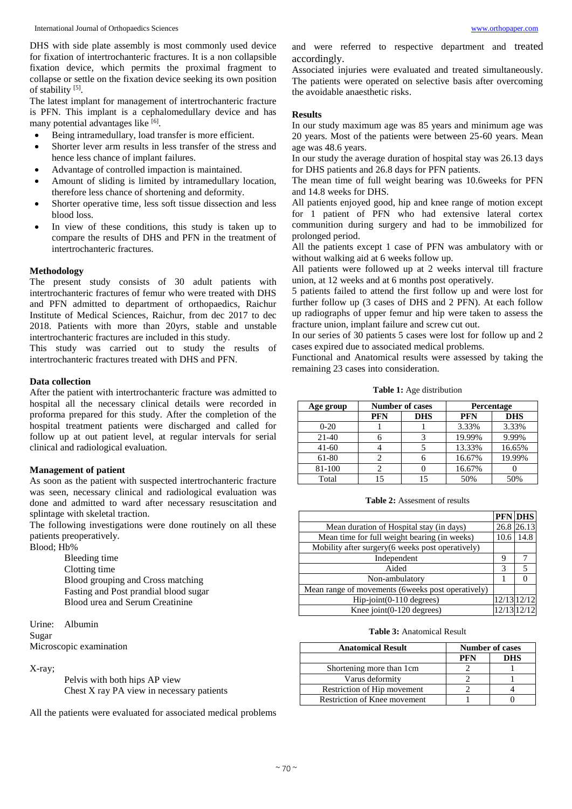DHS with side plate assembly is most commonly used device for fixation of intertrochanteric fractures. It is a non collapsible fixation device, which permits the proximal fragment to collapse or settle on the fixation device seeking its own position of stability [5].

The latest implant for management of intertrochanteric fracture is PFN. This implant is a cephalomedullary device and has many potential advantages like [6].

- Being intramedullary, load transfer is more efficient.
- Shorter lever arm results in less transfer of the stress and hence less chance of implant failures.
- Advantage of controlled impaction is maintained.
- Amount of sliding is limited by intramedullary location, therefore less chance of shortening and deformity.
- Shorter operative time, less soft tissue dissection and less blood loss.
- In view of these conditions, this study is taken up to compare the results of DHS and PFN in the treatment of intertrochanteric fractures.

#### **Methodology**

The present study consists of 30 adult patients with intertrochanteric fractures of femur who were treated with DHS and PFN admitted to department of orthopaedics, Raichur Institute of Medical Sciences, Raichur, from dec 2017 to dec 2018. Patients with more than 20yrs, stable and unstable intertrochanteric fractures are included in this study.

This study was carried out to study the results of intertrochanteric fractures treated with DHS and PFN.

#### **Data collection**

After the patient with intertrochanteric fracture was admitted to hospital all the necessary clinical details were recorded in proforma prepared for this study. After the completion of the hospital treatment patients were discharged and called for follow up at out patient level, at regular intervals for serial clinical and radiological evaluation.

#### **Management of patient**

As soon as the patient with suspected intertrochanteric fracture was seen, necessary clinical and radiological evaluation was done and admitted to ward after necessary resuscitation and splintage with skeletal traction.

The following investigations were done routinely on all these patients preoperatively.

Blood; Hb%

Bleeding time Clotting time Blood grouping and Cross matching Fasting and Post prandial blood sugar Blood urea and Serum Creatinine

Urine: Albumin Sugar Microscopic examination

X-ray;

Pelvis with both hips AP view Chest X ray PA view in necessary patients

All the patients were evaluated for associated medical problems

and were referred to respective department and treated accordingly.

Associated injuries were evaluated and treated simultaneously. The patients were operated on selective basis after overcoming the avoidable anaesthetic risks.

#### **Results**

In our study maximum age was 85 years and minimum age was 20 years. Most of the patients were between 25-60 years. Mean age was 48.6 years.

In our study the average duration of hospital stay was 26.13 days for DHS patients and 26.8 days for PFN patients.

The mean time of full weight bearing was 10.6weeks for PFN and 14.8 weeks for DHS.

All patients enjoyed good, hip and knee range of motion except for 1 patient of PFN who had extensive lateral cortex communition during surgery and had to be immobilized for prolonged period.

All the patients except 1 case of PFN was ambulatory with or without walking aid at 6 weeks follow up.

All patients were followed up at 2 weeks interval till fracture union, at 12 weeks and at 6 months post operatively.

5 patients failed to attend the first follow up and were lost for further follow up (3 cases of DHS and 2 PFN). At each follow up radiographs of upper femur and hip were taken to assess the fracture union, implant failure and screw cut out.

In our series of 30 patients 5 cases were lost for follow up and 2 cases expired due to associated medical problems.

Functional and Anatomical results were assessed by taking the remaining 23 cases into consideration.

**Table 1:** Age distribution

| Age group | <b>Number of cases</b> |            | Percentage |            |
|-----------|------------------------|------------|------------|------------|
|           | <b>PFN</b>             | <b>DHS</b> | <b>PFN</b> | <b>DHS</b> |
| $0 - 20$  |                        |            | 3.33%      | 3.33%      |
| $21-40$   |                        |            | 19.99%     | 9.99%      |
| $41-60$   |                        |            | 13.33%     | 16.65%     |
| 61-80     |                        |            | 16.67%     | 19.99%     |
| 81-100    |                        |            | 16.67%     |            |
| Total     | 15                     |            | 50%        | 50%        |

**Table 2:** Assesment of results

|                                                    |               | <b>PFN DHS</b>  |
|----------------------------------------------------|---------------|-----------------|
| Mean duration of Hospital stay (in days)           |               | 26.8 26.13      |
| Mean time for full weight bearing (in weeks)       | 10.6          | 14.8            |
| Mobility after surgery(6 weeks post operatively)   |               |                 |
| Independent                                        | 9             |                 |
| Aided                                              | $\mathcal{R}$ | 5               |
| Non-ambulatory                                     |               |                 |
| Mean range of movements (6 weeks post operatively) |               |                 |
| Hip-joint(0-110 degrees)                           |               | 12/13 12/12     |
| Knee joint $(0-120$ degrees)                       |               | $12/13$ $12/12$ |

#### **Table 3:** Anatomical Result

| <b>Anatomical Result</b>     | <b>Number of cases</b> |            |
|------------------------------|------------------------|------------|
|                              | PFN                    | <b>DHS</b> |
| Shortening more than 1cm     |                        |            |
| Varus deformity              |                        |            |
| Restriction of Hip movement  |                        |            |
| Restriction of Knee movement |                        |            |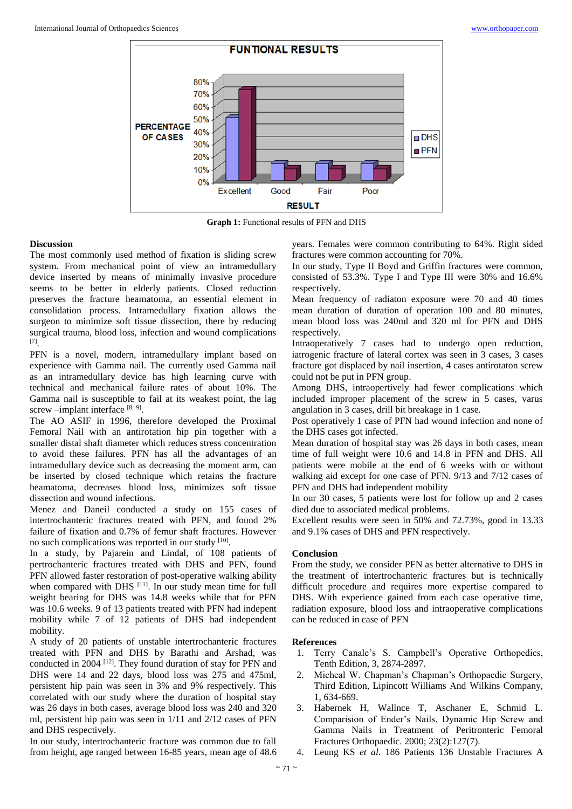

**Graph 1:** Functional results of PFN and DHS

#### **Discussion**

The most commonly used method of fixation is sliding screw system. From mechanical point of view an intramedullary device inserted by means of minimally invasive procedure seems to be better in elderly patients. Closed reduction preserves the fracture heamatoma, an essential element in consolidation process. Intramedullary fixation allows the surgeon to minimize soft tissue dissection, there by reducing surgical trauma, blood loss, infection and wound complications [7] .

PFN is a novel, modern, intramedullary implant based on experience with Gamma nail. The currently used Gamma nail as an intramedullary device has high learning curve with technical and mechanical failure rates of about 10%. The Gamma nail is susceptible to fail at its weakest point, the lag screw –implant interface [8, 9].

The AO ASIF in 1996, therefore developed the Proximal Femoral Nail with an antirotation hip pin together with a smaller distal shaft diameter which reduces stress concentration to avoid these failures. PFN has all the advantages of an intramedullary device such as decreasing the moment arm, can be inserted by closed technique which retains the fracture heamatoma, decreases blood loss, minimizes soft tissue dissection and wound infections.

Menez and Daneil conducted a study on 155 cases of intertrochanteric fractures treated with PFN, and found 2% failure of fixation and 0.7% of femur shaft fractures. However no such complications was reported in our study [10].

In a study, by Pajarein and Lindal, of 108 patients of pertrochanteric fractures treated with DHS and PFN, found PFN allowed faster restoration of post-operative walking ability when compared with DHS [11]. In our study mean time for full weight bearing for DHS was 14.8 weeks while that for PFN was 10.6 weeks. 9 of 13 patients treated with PFN had indepent mobility while 7 of 12 patients of DHS had independent mobility.

A study of 20 patients of unstable intertrochanteric fractures treated with PFN and DHS by Barathi and Arshad, was conducted in 2004 [12]. They found duration of stay for PFN and DHS were 14 and 22 days, blood loss was 275 and 475ml, persistent hip pain was seen in 3% and 9% respectively. This correlated with our study where the duration of hospital stay was 26 days in both cases, average blood loss was 240 and 320 ml, persistent hip pain was seen in 1/11 and 2/12 cases of PFN and DHS respectively.

In our study, intertrochanteric fracture was common due to fall from height, age ranged between 16-85 years, mean age of 48.6 years. Females were common contributing to 64%. Right sided fractures were common accounting for 70%.

In our study, Type II Boyd and Griffin fractures were common, consisted of 53.3%. Type I and Type III were 30% and 16.6% respectively.

Mean frequency of radiaton exposure were 70 and 40 times mean duration of duration of operation 100 and 80 minutes, mean blood loss was 240ml and 320 ml for PFN and DHS respectively.

Intraoperatively 7 cases had to undergo open reduction, iatrogenic fracture of lateral cortex was seen in 3 cases, 3 cases fracture got displaced by nail insertion, 4 cases antirotaton screw could not be put in PFN group.

Among DHS, intraopertively had fewer complications which included improper placement of the screw in 5 cases, varus angulation in 3 cases, drill bit breakage in 1 case.

Post operatively 1 case of PFN had wound infection and none of the DHS cases got infected.

Mean duration of hospital stay was 26 days in both cases, mean time of full weight were 10.6 and 14.8 in PFN and DHS. All patients were mobile at the end of 6 weeks with or without walking aid except for one case of PFN. 9/13 and 7/12 cases of PFN and DHS had independent mobility

In our 30 cases, 5 patients were lost for follow up and 2 cases died due to associated medical problems.

Excellent results were seen in 50% and 72.73%, good in 13.33 and 9.1% cases of DHS and PFN respectively.

#### **Conclusion**

From the study, we consider PFN as better alternative to DHS in the treatment of intertrochanteric fractures but is technically difficult procedure and requires more expertise compared to DHS. With experience gained from each case operative time, radiation exposure, blood loss and intraoperative complications can be reduced in case of PFN

#### **References**

- 1. Terry Canale's S. Campbell's Operative Orthopedics, Tenth Edition, 3, 2874-2897.
- 2. Micheal W. Chapman's Chapman's Orthopaedic Surgery, Third Edition, Lipincott Williams And Wilkins Company, 1, 634-669.
- 3. Habernek H, Wallnce T, Aschaner E, Schmid L. Comparision of Ender's Nails, Dynamic Hip Screw and Gamma Nails in Treatment of Peritronteric Femoral Fractures Orthopaedic. 2000; 23(2):127(7).
- 4. Leung KS *et al*. 186 Patients 136 Unstable Fractures A